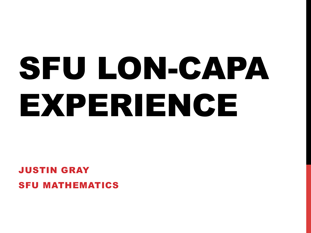# SFU LON-CAPA EXPERIENCE

#### JUSTIN GRAY SFU MATHEMATICS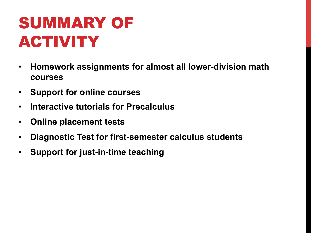# SUMMARY OF ACTIVITY

- **Homework assignments for almost all lower-division math courses**
- **Support for online courses**
- **Interactive tutorials for Precalculus**
- **Online placement tests**
- **Diagnostic Test for first-semester calculus students**
- **Support for just-in-time teaching**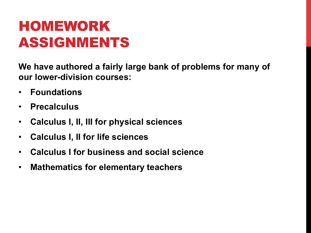### HOMEWORK ASSIGNMENTS

**We have authored a fairly large bank of problems for many of our lower-division courses:** 

- **Foundations**
- **Precalculus**
- **Calculus I, II, III for physical sciences**
- **Calculus I, II for life sciences**
- **Calculus I for business and social science**
- **Mathematics for elementary teachers**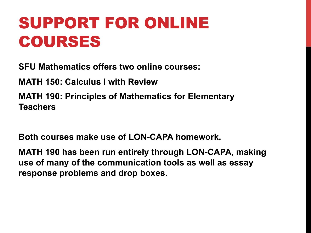### SUPPORT FOR ONLINE COURSES

**SFU Mathematics offers two online courses:** 

**MATH 150: Calculus I with Review** 

**MATH 190: Principles of Mathematics for Elementary Teachers** 

**Both courses make use of LON-CAPA homework.** 

**MATH 190 has been run entirely through LON-CAPA, making use of many of the communication tools as well as essay response problems and drop boxes.**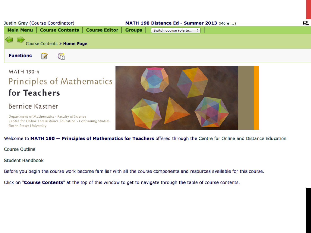

#### **MATH 190-4 Principles of Mathematics** for Teachers

#### Bernice Kastner

Department of Mathematics · Faculty of Science Centre for Online and Distance Education . Continuing Studies Simon Fraser University



Welcome to MATH 190 - Principles of Mathematics for Teachers offered through the Centre for Online and Distance Education

**Course Outline** 

**Student Handbook** 

Before you begin the course work become familiar with all the course components and resources available for this course.

Click on "Course Contents" at the top of this window to get to navigate through the table of course contents.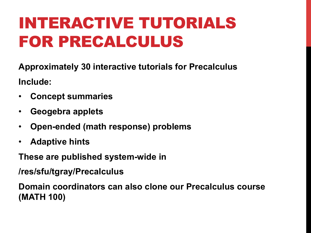# INTERACTIVE TUTORIALS FOR PRECALCULUS

**Approximately 30 interactive tutorials for Precalculus Include:** 

- **Concept summaries**
- **Geogebra applets**
- **Open-ended (math response) problems**
- **Adaptive hints**

**These are published system-wide in** 

**/res/sfu/tgray/Precalculus** 

**Domain coordinators can also clone our Precalculus course (MATH 100)**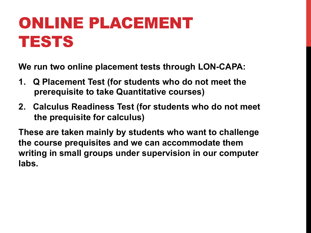# ONLINE PLACEMENT TESTS

**We run two online placement tests through LON-CAPA:** 

- **1. Q Placement Test (for students who do not meet the prerequisite to take Quantitative courses)**
- **2. Calculus Readiness Test (for students who do not meet the prequisite for calculus)**

**These are taken mainly by students who want to challenge the course prequisites and we can accommodate them writing in small groups under supervision in our computer labs.**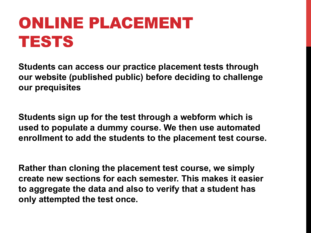# ONLINE PLACEMENT TESTS

**Students can access our practice placement tests through our website (published public) before deciding to challenge our prequisites** 

**Students sign up for the test through a webform which is used to populate a dummy course. We then use automated enrollment to add the students to the placement test course.** 

**Rather than cloning the placement test course, we simply create new sections for each semester. This makes it easier to aggregate the data and also to verify that a student has only attempted the test once.**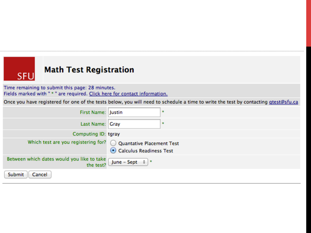#### **Math Test Registration**

**SFU** 

Time remaining to submit this page: 28 minutes. Fields marked with " \* " are required. Click here for contact information.

Once you have registered for one of the tests below, you will need to schedule a time to write the test by contacting gtest@sfu.ca

| First Name: Justin                                              |                         | $\cdot$ |
|-----------------------------------------------------------------|-------------------------|---------|
| Last Name: Gray                                                 |                         | ÷       |
| Computing ID: tgray                                             |                         |         |
| Which test are you registering for? O Quantative Placement Test | Calculus Readiness Test |         |
| Between which dates would you like to take<br>the test?         | June – Sept $\div$ $*$  |         |
| Submit<br>Cancel                                                |                         |         |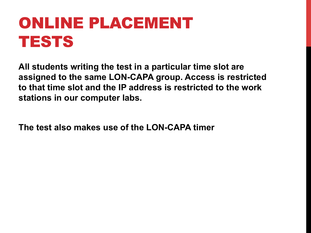# ONLINE PLACEMENT TESTS

**All students writing the test in a particular time slot are assigned to the same LON-CAPA group. Access is restricted to that time slot and the IP address is restricted to the work stations in our computer labs.** 

**The test also makes use of the LON-CAPA timer**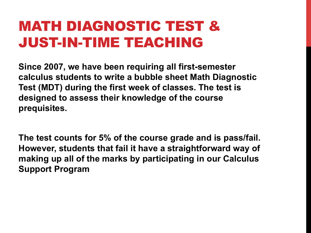#### MATH DIAGNOSTIC TEST & JUST-IN-TIME TEACHING

**Since 2007, we have been requiring all first-semester calculus students to write a bubble sheet Math Diagnostic Test (MDT) during the first week of classes. The test is designed to assess their knowledge of the course prequisites.** 

**The test counts for 5% of the course grade and is pass/fail. However, students that fail it have a straightforward way of making up all of the marks by participating in our Calculus Support Program**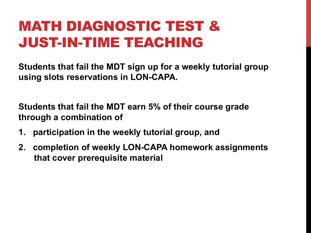### MATH DIAGNOSTIC TEST & JUST-IN-TIME TEACHING

**Students that fail the MDT sign up for a weekly tutorial group using slots reservations in LON-CAPA.** 

**Students that fail the MDT earn 5% of their course grade through a combination of** 

- **1. participation in the weekly tutorial group, and**
- **2. completion of weekly LON-CAPA homework assignments that cover prerequisite material**